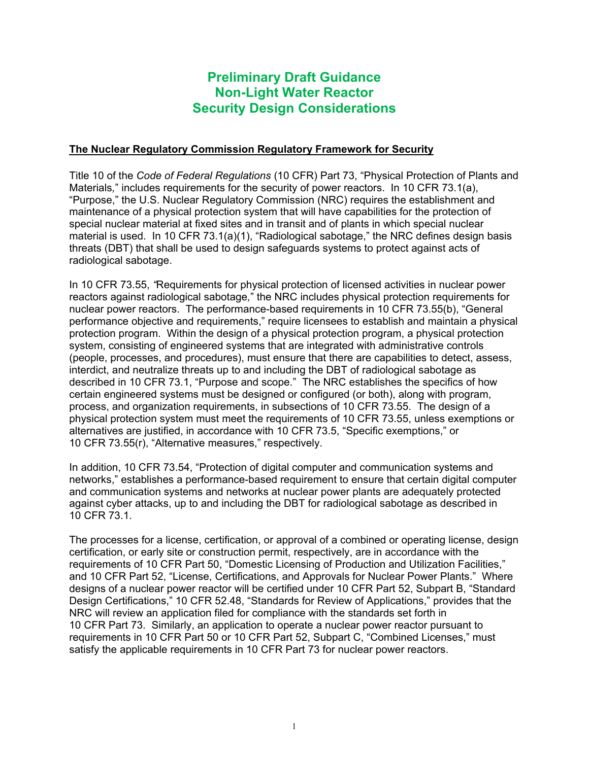## **Preliminary Draft Guidance Non-Light Water Reactor Security Design Considerations**

### **The Nuclear Regulatory Commission Regulatory Framework for Security**

Title 10 of the *Code of Federal Regulations* (10 CFR) Part 73, "Physical Protection of Plants and Materials*,*" includes requirements for the security of power reactors. In 10 CFR 73.1(a), "Purpose," the U.S. Nuclear Regulatory Commission (NRC) requires the establishment and maintenance of a physical protection system that will have capabilities for the protection of special nuclear material at fixed sites and in transit and of plants in which special nuclear material is used. In 10 CFR 73.1(a)(1), "Radiological sabotage," the NRC defines design basis threats (DBT) that shall be used to design safeguards systems to protect against acts of radiological sabotage.

In 10 CFR 73.55, *"*Requirements for physical protection of licensed activities in nuclear power reactors against radiological sabotage*,*" the NRC includes physical protection requirements for nuclear power reactors. The performance-based requirements in 10 CFR 73.55(b), "General performance objective and requirements," require licensees to establish and maintain a physical protection program. Within the design of a physical protection program, a physical protection system, consisting of engineered systems that are integrated with administrative controls (people, processes, and procedures), must ensure that there are capabilities to detect, assess, interdict, and neutralize threats up to and including the DBT of radiological sabotage as described in 10 CFR 73.1, "Purpose and scope." The NRC establishes the specifics of how certain engineered systems must be designed or configured (or both), along with program, process, and organization requirements, in subsections of 10 CFR 73.55. The design of a physical protection system must meet the requirements of 10 CFR 73.55, unless exemptions or alternatives are justified, in accordance with 10 CFR 73.5, "Specific exemptions," or 10 CFR 73.55(r), "Alternative measures," respectively.

In addition, 10 CFR 73.54, "Protection of digital computer and communication systems and networks," establishes a performance-based requirement to ensure that certain digital computer and communication systems and networks at nuclear power plants are adequately protected against cyber attacks, up to and including the DBT for radiological sabotage as described in 10 CFR 73.1.

The processes for a license, certification, or approval of a combined or operating license, design certification, or early site or construction permit, respectively, are in accordance with the requirements of 10 CFR Part 50, "Domestic Licensing of Production and Utilization Facilities," and 10 CFR Part 52, "License, Certifications, and Approvals for Nuclear Power Plants." Where designs of a nuclear power reactor will be certified under 10 CFR Part 52, Subpart B, "Standard Design Certifications," 10 CFR 52.48, "Standards for Review of Applications," provides that the NRC will review an application filed for compliance with the standards set forth in 10 CFR Part 73. Similarly, an application to operate a nuclear power reactor pursuant to requirements in 10 CFR Part 50 or 10 CFR Part 52, Subpart C, "Combined Licenses," must satisfy the applicable requirements in 10 CFR Part 73 for nuclear power reactors.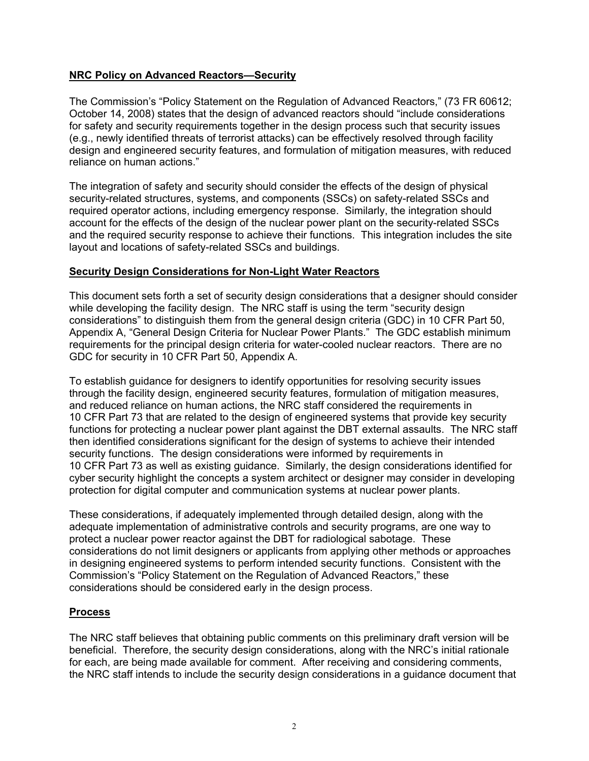### **NRC Policy on Advanced Reactors—Security**

The Commission's "Policy Statement on the Regulation of Advanced Reactors," (73 FR 60612; October 14, 2008) states that the design of advanced reactors should "include considerations for safety and security requirements together in the design process such that security issues (e.g., newly identified threats of terrorist attacks) can be effectively resolved through facility design and engineered security features, and formulation of mitigation measures, with reduced reliance on human actions."

The integration of safety and security should consider the effects of the design of physical security-related structures, systems, and components (SSCs) on safety-related SSCs and required operator actions, including emergency response. Similarly, the integration should account for the effects of the design of the nuclear power plant on the security-related SSCs and the required security response to achieve their functions. This integration includes the site layout and locations of safety-related SSCs and buildings.

### **Security Design Considerations for Non-Light Water Reactors**

This document sets forth a set of security design considerations that a designer should consider while developing the facility design. The NRC staff is using the term "security design considerations" to distinguish them from the general design criteria (GDC) in 10 CFR Part 50, Appendix A, "General Design Criteria for Nuclear Power Plants." The GDC establish minimum requirements for the principal design criteria for water-cooled nuclear reactors. There are no GDC for security in 10 CFR Part 50, Appendix A.

To establish guidance for designers to identify opportunities for resolving security issues through the facility design, engineered security features, formulation of mitigation measures, and reduced reliance on human actions, the NRC staff considered the requirements in 10 CFR Part 73 that are related to the design of engineered systems that provide key security functions for protecting a nuclear power plant against the DBT external assaults. The NRC staff then identified considerations significant for the design of systems to achieve their intended security functions. The design considerations were informed by requirements in 10 CFR Part 73 as well as existing guidance. Similarly, the design considerations identified for cyber security highlight the concepts a system architect or designer may consider in developing protection for digital computer and communication systems at nuclear power plants.

These considerations, if adequately implemented through detailed design, along with the adequate implementation of administrative controls and security programs, are one way to protect a nuclear power reactor against the DBT for radiological sabotage. These considerations do not limit designers or applicants from applying other methods or approaches in designing engineered systems to perform intended security functions. Consistent with the Commission's "Policy Statement on the Regulation of Advanced Reactors," these considerations should be considered early in the design process.

### **Process**

The NRC staff believes that obtaining public comments on this preliminary draft version will be beneficial. Therefore, the security design considerations, along with the NRC's initial rationale for each, are being made available for comment. After receiving and considering comments, the NRC staff intends to include the security design considerations in a guidance document that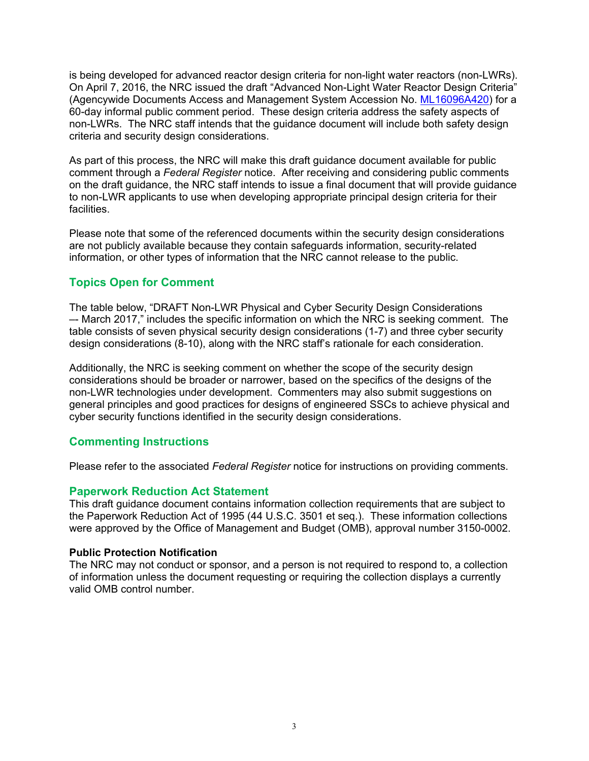is being developed for advanced reactor design criteria for non-light water reactors (non-LWRs). On April 7, 2016, the NRC issued the draft "Advanced Non-Light Water Reactor Design Criteria" (Agencywide Documents Access and Management System Accession No. ML16096A420) for a 60-day informal public comment period. These design criteria address the safety aspects of non-LWRs. The NRC staff intends that the guidance document will include both safety design criteria and security design considerations.

As part of this process, the NRC will make this draft guidance document available for public comment through a *Federal Register* notice. After receiving and considering public comments on the draft guidance, the NRC staff intends to issue a final document that will provide guidance to non-LWR applicants to use when developing appropriate principal design criteria for their facilities.

Please note that some of the referenced documents within the security design considerations are not publicly available because they contain safeguards information, security-related information, or other types of information that the NRC cannot release to the public.

## **Topics Open for Comment**

The table below, "DRAFT Non-LWR Physical and Cyber Security Design Considerations –- March 2017," includes the specific information on which the NRC is seeking comment. The table consists of seven physical security design considerations (1-7) and three cyber security design considerations (8-10), along with the NRC staff's rationale for each consideration.

Additionally, the NRC is seeking comment on whether the scope of the security design considerations should be broader or narrower, based on the specifics of the designs of the non-LWR technologies under development. Commenters may also submit suggestions on general principles and good practices for designs of engineered SSCs to achieve physical and cyber security functions identified in the security design considerations.

### **Commenting Instructions**

Please refer to the associated *Federal Register* notice for instructions on providing comments.

### **Paperwork Reduction Act Statement**

This draft guidance document contains information collection requirements that are subject to the Paperwork Reduction Act of 1995 (44 U.S.C. 3501 et seq.). These information collections were approved by the Office of Management and Budget (OMB), approval number 3150-0002.

#### **Public Protection Notification**

The NRC may not conduct or sponsor, and a person is not required to respond to, a collection of information unless the document requesting or requiring the collection displays a currently valid OMB control number.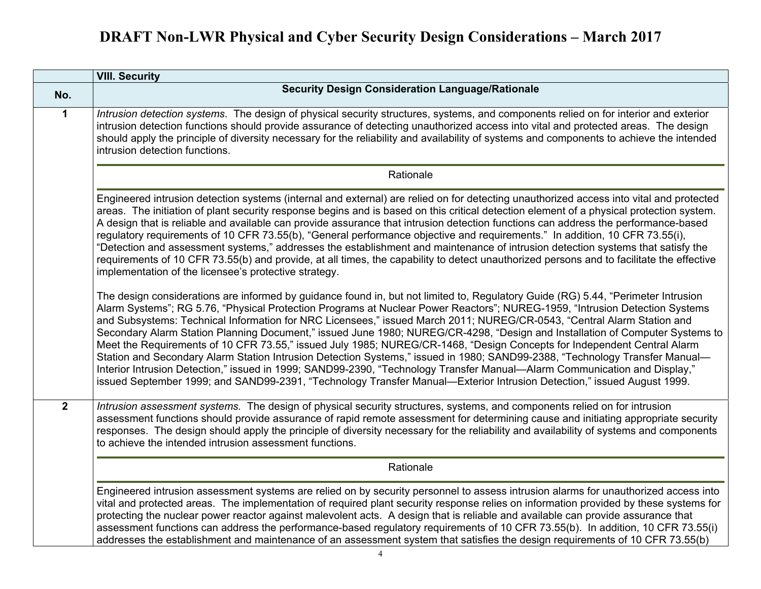|              | <b>VIII. Security</b>                                                                                                                                                                                                                                                                                                                                                                                                                                                                                                                                                                                                                                                                                                                                                                                                                                                                                                                                                                                                                       |
|--------------|---------------------------------------------------------------------------------------------------------------------------------------------------------------------------------------------------------------------------------------------------------------------------------------------------------------------------------------------------------------------------------------------------------------------------------------------------------------------------------------------------------------------------------------------------------------------------------------------------------------------------------------------------------------------------------------------------------------------------------------------------------------------------------------------------------------------------------------------------------------------------------------------------------------------------------------------------------------------------------------------------------------------------------------------|
| No.          | <b>Security Design Consideration Language/Rationale</b>                                                                                                                                                                                                                                                                                                                                                                                                                                                                                                                                                                                                                                                                                                                                                                                                                                                                                                                                                                                     |
| $\mathbf 1$  | Intrusion detection systems. The design of physical security structures, systems, and components relied on for interior and exterior<br>intrusion detection functions should provide assurance of detecting unauthorized access into vital and protected areas. The design<br>should apply the principle of diversity necessary for the reliability and availability of systems and components to achieve the intended<br>intrusion detection functions.                                                                                                                                                                                                                                                                                                                                                                                                                                                                                                                                                                                    |
|              | Rationale                                                                                                                                                                                                                                                                                                                                                                                                                                                                                                                                                                                                                                                                                                                                                                                                                                                                                                                                                                                                                                   |
|              | Engineered intrusion detection systems (internal and external) are relied on for detecting unauthorized access into vital and protected<br>areas. The initiation of plant security response begins and is based on this critical detection element of a physical protection system.<br>A design that is reliable and available can provide assurance that intrusion detection functions can address the performance-based<br>regulatory requirements of 10 CFR 73.55(b), "General performance objective and requirements." In addition, 10 CFR 73.55(i),<br>'Detection and assessment systems," addresses the establishment and maintenance of intrusion detection systems that satisfy the<br>requirements of 10 CFR 73.55(b) and provide, at all times, the capability to detect unauthorized persons and to facilitate the effective<br>implementation of the licensee's protective strategy.                                                                                                                                            |
|              | The design considerations are informed by guidance found in, but not limited to, Regulatory Guide (RG) 5.44, "Perimeter Intrusion<br>Alarm Systems"; RG 5.76, "Physical Protection Programs at Nuclear Power Reactors"; NUREG-1959, "Intrusion Detection Systems<br>and Subsystems: Technical Information for NRC Licensees," issued March 2011; NUREG/CR-0543, "Central Alarm Station and<br>Secondary Alarm Station Planning Document," issued June 1980; NUREG/CR-4298, "Design and Installation of Computer Systems to<br>Meet the Requirements of 10 CFR 73.55," issued July 1985; NUREG/CR-1468, "Design Concepts for Independent Central Alarm<br>Station and Secondary Alarm Station Intrusion Detection Systems," issued in 1980; SAND99-2388, "Technology Transfer Manual-<br>Interior Intrusion Detection," issued in 1999; SAND99-2390, "Technology Transfer Manual-Alarm Communication and Display,"<br>issued September 1999; and SAND99-2391, "Technology Transfer Manual—Exterior Intrusion Detection," issued August 1999. |
| $\mathbf{2}$ | Intrusion assessment systems. The design of physical security structures, systems, and components relied on for intrusion<br>assessment functions should provide assurance of rapid remote assessment for determining cause and initiating appropriate security<br>responses. The design should apply the principle of diversity necessary for the reliability and availability of systems and components<br>to achieve the intended intrusion assessment functions.                                                                                                                                                                                                                                                                                                                                                                                                                                                                                                                                                                        |
|              | Rationale                                                                                                                                                                                                                                                                                                                                                                                                                                                                                                                                                                                                                                                                                                                                                                                                                                                                                                                                                                                                                                   |
|              | Engineered intrusion assessment systems are relied on by security personnel to assess intrusion alarms for unauthorized access into<br>vital and protected areas. The implementation of required plant security response relies on information provided by these systems for<br>protecting the nuclear power reactor against malevolent acts. A design that is reliable and available can provide assurance that<br>assessment functions can address the performance-based regulatory requirements of 10 CFR 73.55(b). In addition, 10 CFR 73.55(i)<br>addresses the establishment and maintenance of an assessment system that satisfies the design requirements of 10 CFR 73.55(b)                                                                                                                                                                                                                                                                                                                                                        |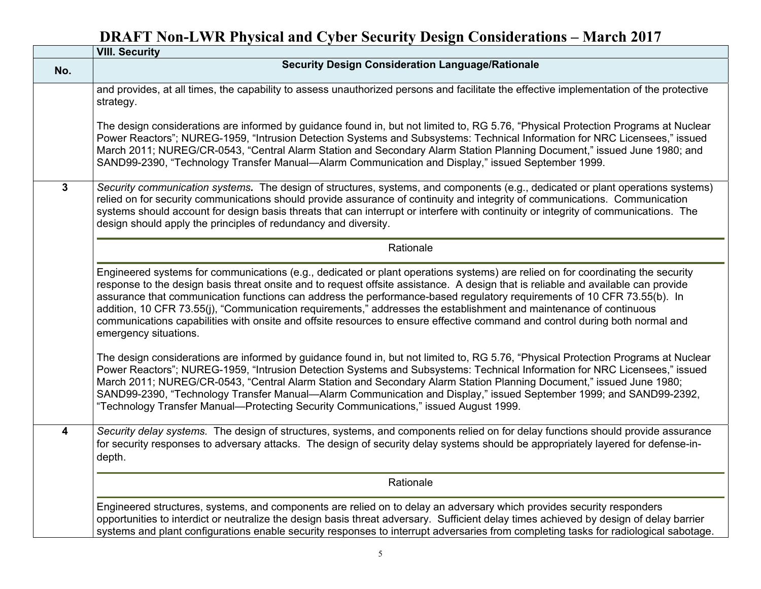|                         | <b>VIII. Security</b>                                                                                                                                                                                                                                                                                                                                                                                                                                                                                                                                                                                                                                                          |
|-------------------------|--------------------------------------------------------------------------------------------------------------------------------------------------------------------------------------------------------------------------------------------------------------------------------------------------------------------------------------------------------------------------------------------------------------------------------------------------------------------------------------------------------------------------------------------------------------------------------------------------------------------------------------------------------------------------------|
| No.                     | <b>Security Design Consideration Language/Rationale</b>                                                                                                                                                                                                                                                                                                                                                                                                                                                                                                                                                                                                                        |
|                         | and provides, at all times, the capability to assess unauthorized persons and facilitate the effective implementation of the protective<br>strategy.                                                                                                                                                                                                                                                                                                                                                                                                                                                                                                                           |
|                         | The design considerations are informed by guidance found in, but not limited to, RG 5.76, "Physical Protection Programs at Nuclear<br>Power Reactors"; NUREG-1959, "Intrusion Detection Systems and Subsystems: Technical Information for NRC Licensees," issued<br>March 2011; NUREG/CR-0543, "Central Alarm Station and Secondary Alarm Station Planning Document," issued June 1980; and<br>SAND99-2390, "Technology Transfer Manual-Alarm Communication and Display," issued September 1999.                                                                                                                                                                               |
| $\mathbf{3}$            | Security communication systems. The design of structures, systems, and components (e.g., dedicated or plant operations systems)<br>relied on for security communications should provide assurance of continuity and integrity of communications. Communication<br>systems should account for design basis threats that can interrupt or interfere with continuity or integrity of communications. The<br>design should apply the principles of redundancy and diversity.                                                                                                                                                                                                       |
|                         | Rationale                                                                                                                                                                                                                                                                                                                                                                                                                                                                                                                                                                                                                                                                      |
|                         | Engineered systems for communications (e.g., dedicated or plant operations systems) are relied on for coordinating the security<br>response to the design basis threat onsite and to request offsite assistance. A design that is reliable and available can provide<br>assurance that communication functions can address the performance-based regulatory requirements of 10 CFR 73.55(b). In<br>addition, 10 CFR 73.55(j), "Communication requirements," addresses the establishment and maintenance of continuous<br>communications capabilities with onsite and offsite resources to ensure effective command and control during both normal and<br>emergency situations. |
|                         | The design considerations are informed by guidance found in, but not limited to, RG 5.76, "Physical Protection Programs at Nuclear<br>Power Reactors"; NUREG-1959, "Intrusion Detection Systems and Subsystems: Technical Information for NRC Licensees," issued<br>March 2011; NUREG/CR-0543, "Central Alarm Station and Secondary Alarm Station Planning Document," issued June 1980;<br>SAND99-2390, "Technology Transfer Manual-Alarm Communication and Display," issued September 1999; and SAND99-2392,<br>"Technology Transfer Manual—Protecting Security Communications," issued August 1999.                                                                          |
| $\overline{\mathbf{4}}$ | Security delay systems. The design of structures, systems, and components relied on for delay functions should provide assurance<br>for security responses to adversary attacks. The design of security delay systems should be appropriately layered for defense-in-<br>depth.                                                                                                                                                                                                                                                                                                                                                                                                |
|                         | Rationale                                                                                                                                                                                                                                                                                                                                                                                                                                                                                                                                                                                                                                                                      |
|                         | Engineered structures, systems, and components are relied on to delay an adversary which provides security responders<br>opportunities to interdict or neutralize the design basis threat adversary. Sufficient delay times achieved by design of delay barrier<br>systems and plant configurations enable security responses to interrupt adversaries from completing tasks for radiological sabotage.                                                                                                                                                                                                                                                                        |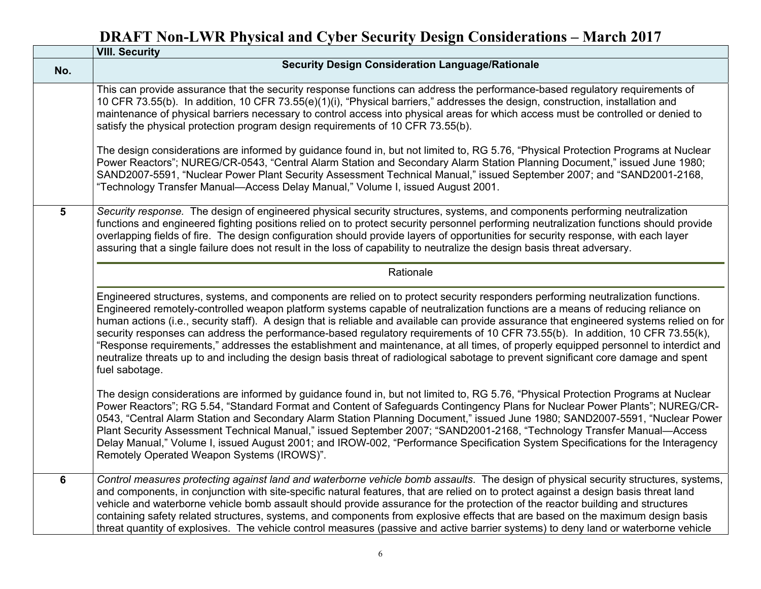|     | <b>VIII. Security</b>                                                                                                                                                                                                                                                                                                                                                                                                                                                                                                                                                                                                                                                                                                                                                                                                                              |
|-----|----------------------------------------------------------------------------------------------------------------------------------------------------------------------------------------------------------------------------------------------------------------------------------------------------------------------------------------------------------------------------------------------------------------------------------------------------------------------------------------------------------------------------------------------------------------------------------------------------------------------------------------------------------------------------------------------------------------------------------------------------------------------------------------------------------------------------------------------------|
| No. | <b>Security Design Consideration Language/Rationale</b>                                                                                                                                                                                                                                                                                                                                                                                                                                                                                                                                                                                                                                                                                                                                                                                            |
|     | This can provide assurance that the security response functions can address the performance-based regulatory requirements of<br>10 CFR 73.55(b). In addition, 10 CFR 73.55(e)(1)(i), "Physical barriers," addresses the design, construction, installation and<br>maintenance of physical barriers necessary to control access into physical areas for which access must be controlled or denied to<br>satisfy the physical protection program design requirements of 10 CFR 73.55(b).                                                                                                                                                                                                                                                                                                                                                             |
|     | The design considerations are informed by guidance found in, but not limited to, RG 5.76, "Physical Protection Programs at Nuclear<br>Power Reactors"; NUREG/CR-0543, "Central Alarm Station and Secondary Alarm Station Planning Document," issued June 1980;<br>SAND2007-5591, "Nuclear Power Plant Security Assessment Technical Manual," issued September 2007; and "SAND2001-2168,<br>"Technology Transfer Manual—Access Delay Manual," Volume I, issued August 2001.                                                                                                                                                                                                                                                                                                                                                                         |
| 5   | Security response. The design of engineered physical security structures, systems, and components performing neutralization<br>functions and engineered fighting positions relied on to protect security personnel performing neutralization functions should provide<br>overlapping fields of fire. The design configuration should provide layers of opportunities for security response, with each layer<br>assuring that a single failure does not result in the loss of capability to neutralize the design basis threat adversary.                                                                                                                                                                                                                                                                                                           |
|     | Rationale                                                                                                                                                                                                                                                                                                                                                                                                                                                                                                                                                                                                                                                                                                                                                                                                                                          |
|     | Engineered structures, systems, and components are relied on to protect security responders performing neutralization functions.<br>Engineered remotely-controlled weapon platform systems capable of neutralization functions are a means of reducing reliance on<br>human actions (i.e., security staff). A design that is reliable and available can provide assurance that engineered systems relied on for<br>security responses can address the performance-based regulatory requirements of 10 CFR 73.55(b). In addition, 10 CFR 73.55(k),<br>"Response requirements," addresses the establishment and maintenance, at all times, of properly equipped personnel to interdict and<br>neutralize threats up to and including the design basis threat of radiological sabotage to prevent significant core damage and spent<br>fuel sabotage. |
|     | The design considerations are informed by guidance found in, but not limited to, RG 5.76, "Physical Protection Programs at Nuclear<br>Power Reactors"; RG 5.54, "Standard Format and Content of Safeguards Contingency Plans for Nuclear Power Plants"; NUREG/CR-<br>0543, "Central Alarm Station and Secondary Alarm Station Planning Document," issued June 1980; SAND2007-5591, "Nuclear Power<br>Plant Security Assessment Technical Manual," issued September 2007; "SAND2001-2168, "Technology Transfer Manual-Access<br>Delay Manual," Volume I, issued August 2001; and IROW-002, "Performance Specification System Specifications for the Interagency<br>Remotely Operated Weapon Systems (IROWS)".                                                                                                                                       |
| 6   | Control measures protecting against land and waterborne vehicle bomb assaults. The design of physical security structures, systems,<br>and components, in conjunction with site-specific natural features, that are relied on to protect against a design basis threat land<br>vehicle and waterborne vehicle bomb assault should provide assurance for the protection of the reactor building and structures<br>containing safety related structures, systems, and components from explosive effects that are based on the maximum design basis<br>threat quantity of explosives. The vehicle control measures (passive and active barrier systems) to deny land or waterborne vehicle                                                                                                                                                            |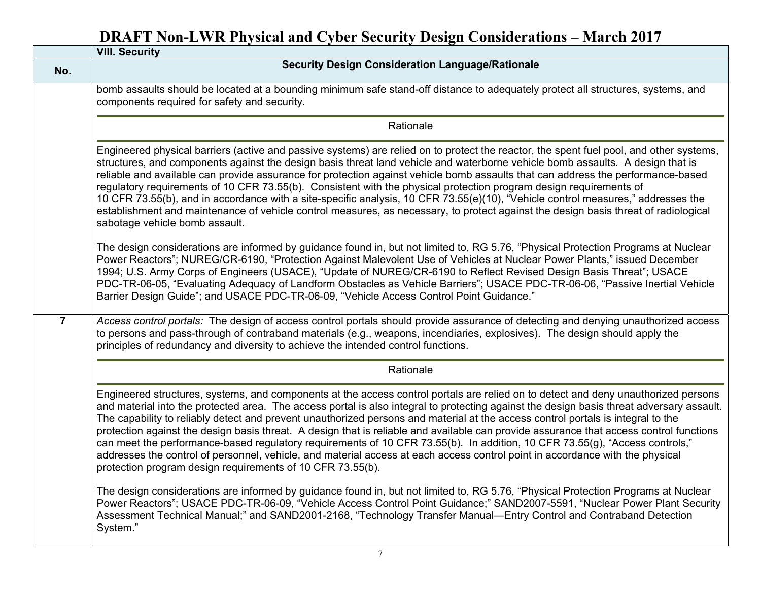|                | <b>VIII. Security</b>                                                                                                                                                                                                                                                                                                                                                                                                                                                                                                                                                                                                                                                                                                                                                                                                                                                                        |
|----------------|----------------------------------------------------------------------------------------------------------------------------------------------------------------------------------------------------------------------------------------------------------------------------------------------------------------------------------------------------------------------------------------------------------------------------------------------------------------------------------------------------------------------------------------------------------------------------------------------------------------------------------------------------------------------------------------------------------------------------------------------------------------------------------------------------------------------------------------------------------------------------------------------|
| No.            | <b>Security Design Consideration Language/Rationale</b>                                                                                                                                                                                                                                                                                                                                                                                                                                                                                                                                                                                                                                                                                                                                                                                                                                      |
|                | bomb assaults should be located at a bounding minimum safe stand-off distance to adequately protect all structures, systems, and<br>components required for safety and security.                                                                                                                                                                                                                                                                                                                                                                                                                                                                                                                                                                                                                                                                                                             |
|                | Rationale                                                                                                                                                                                                                                                                                                                                                                                                                                                                                                                                                                                                                                                                                                                                                                                                                                                                                    |
|                | Engineered physical barriers (active and passive systems) are relied on to protect the reactor, the spent fuel pool, and other systems,<br>structures, and components against the design basis threat land vehicle and waterborne vehicle bomb assaults. A design that is<br>reliable and available can provide assurance for protection against vehicle bomb assaults that can address the performance-based<br>regulatory requirements of 10 CFR 73.55(b). Consistent with the physical protection program design requirements of<br>10 CFR 73.55(b), and in accordance with a site-specific analysis, 10 CFR 73.55(e)(10), "Vehicle control measures," addresses the<br>establishment and maintenance of vehicle control measures, as necessary, to protect against the design basis threat of radiological<br>sabotage vehicle bomb assault.                                             |
|                | The design considerations are informed by guidance found in, but not limited to, RG 5.76, "Physical Protection Programs at Nuclear<br>Power Reactors"; NUREG/CR-6190, "Protection Against Malevolent Use of Vehicles at Nuclear Power Plants," issued December<br>1994; U.S. Army Corps of Engineers (USACE), "Update of NUREG/CR-6190 to Reflect Revised Design Basis Threat"; USACE<br>PDC-TR-06-05, "Evaluating Adequacy of Landform Obstacles as Vehicle Barriers"; USACE PDC-TR-06-06, "Passive Inertial Vehicle<br>Barrier Design Guide"; and USACE PDC-TR-06-09, "Vehicle Access Control Point Guidance."                                                                                                                                                                                                                                                                             |
| $\overline{7}$ | Access control portals: The design of access control portals should provide assurance of detecting and denying unauthorized access<br>to persons and pass-through of contraband materials (e.g., weapons, incendiaries, explosives). The design should apply the<br>principles of redundancy and diversity to achieve the intended control functions.                                                                                                                                                                                                                                                                                                                                                                                                                                                                                                                                        |
|                | Rationale                                                                                                                                                                                                                                                                                                                                                                                                                                                                                                                                                                                                                                                                                                                                                                                                                                                                                    |
|                | Engineered structures, systems, and components at the access control portals are relied on to detect and deny unauthorized persons<br>and material into the protected area. The access portal is also integral to protecting against the design basis threat adversary assault.<br>The capability to reliably detect and prevent unauthorized persons and material at the access control portals is integral to the<br>protection against the design basis threat. A design that is reliable and available can provide assurance that access control functions<br>can meet the performance-based regulatory requirements of 10 CFR 73.55(b). In addition, 10 CFR 73.55(g), "Access controls,"<br>addresses the control of personnel, vehicle, and material access at each access control point in accordance with the physical<br>protection program design requirements of 10 CFR 73.55(b). |
|                | The design considerations are informed by guidance found in, but not limited to, RG 5.76, "Physical Protection Programs at Nuclear<br>Power Reactors"; USACE PDC-TR-06-09, "Vehicle Access Control Point Guidance;" SAND2007-5591, "Nuclear Power Plant Security<br>Assessment Technical Manual;" and SAND2001-2168, "Technology Transfer Manual—Entry Control and Contraband Detection<br>System."                                                                                                                                                                                                                                                                                                                                                                                                                                                                                          |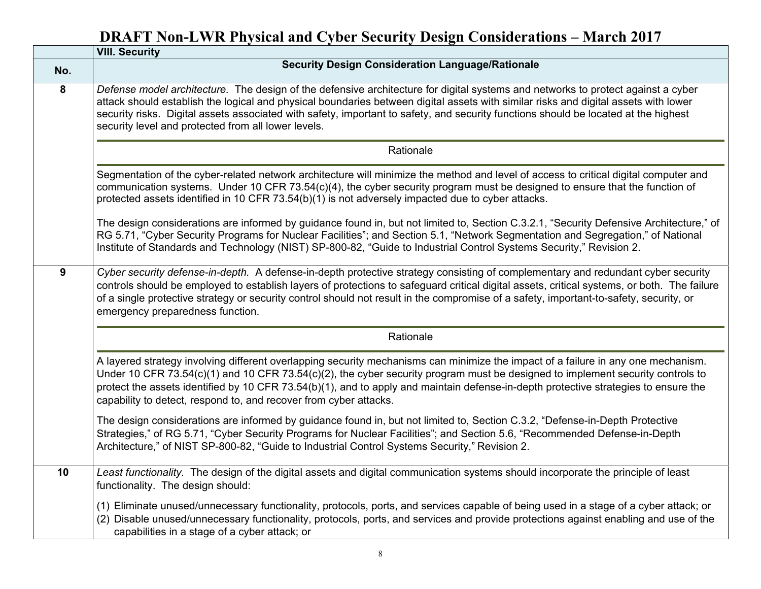|     | <b>VIII. Security</b>                                                                                                                                                                                                                                                                                                                                                                                                                                                           |
|-----|---------------------------------------------------------------------------------------------------------------------------------------------------------------------------------------------------------------------------------------------------------------------------------------------------------------------------------------------------------------------------------------------------------------------------------------------------------------------------------|
| No. | <b>Security Design Consideration Language/Rationale</b>                                                                                                                                                                                                                                                                                                                                                                                                                         |
| 8   | Defense model architecture. The design of the defensive architecture for digital systems and networks to protect against a cyber<br>attack should establish the logical and physical boundaries between digital assets with similar risks and digital assets with lower<br>security risks. Digital assets associated with safety, important to safety, and security functions should be located at the highest<br>security level and protected from all lower levels.           |
|     | Rationale                                                                                                                                                                                                                                                                                                                                                                                                                                                                       |
|     | Segmentation of the cyber-related network architecture will minimize the method and level of access to critical digital computer and<br>communication systems. Under 10 CFR 73.54(c)(4), the cyber security program must be designed to ensure that the function of<br>protected assets identified in 10 CFR 73.54(b)(1) is not adversely impacted due to cyber attacks.                                                                                                        |
|     | The design considerations are informed by guidance found in, but not limited to, Section C.3.2.1, "Security Defensive Architecture," of<br>RG 5.71, "Cyber Security Programs for Nuclear Facilities"; and Section 5.1, "Network Segmentation and Segregation," of National<br>Institute of Standards and Technology (NIST) SP-800-82, "Guide to Industrial Control Systems Security," Revision 2.                                                                               |
| 9   | Cyber security defense-in-depth. A defense-in-depth protective strategy consisting of complementary and redundant cyber security<br>controls should be employed to establish layers of protections to safeguard critical digital assets, critical systems, or both. The failure<br>of a single protective strategy or security control should not result in the compromise of a safety, important-to-safety, security, or<br>emergency preparedness function.                   |
|     | Rationale                                                                                                                                                                                                                                                                                                                                                                                                                                                                       |
|     | A layered strategy involving different overlapping security mechanisms can minimize the impact of a failure in any one mechanism.<br>Under 10 CFR 73.54(c)(1) and 10 CFR 73.54(c)(2), the cyber security program must be designed to implement security controls to<br>protect the assets identified by 10 CFR 73.54(b)(1), and to apply and maintain defense-in-depth protective strategies to ensure the<br>capability to detect, respond to, and recover from cyber attacks. |
|     | The design considerations are informed by guidance found in, but not limited to, Section C.3.2, "Defense-in-Depth Protective<br>Strategies," of RG 5.71, "Cyber Security Programs for Nuclear Facilities"; and Section 5.6, "Recommended Defense-in-Depth<br>Architecture," of NIST SP-800-82, "Guide to Industrial Control Systems Security," Revision 2.                                                                                                                      |
| 10  | Least functionality. The design of the digital assets and digital communication systems should incorporate the principle of least<br>functionality. The design should:                                                                                                                                                                                                                                                                                                          |
|     | (1) Eliminate unused/unnecessary functionality, protocols, ports, and services capable of being used in a stage of a cyber attack; or<br>(2) Disable unused/unnecessary functionality, protocols, ports, and services and provide protections against enabling and use of the<br>capabilities in a stage of a cyber attack; or                                                                                                                                                  |